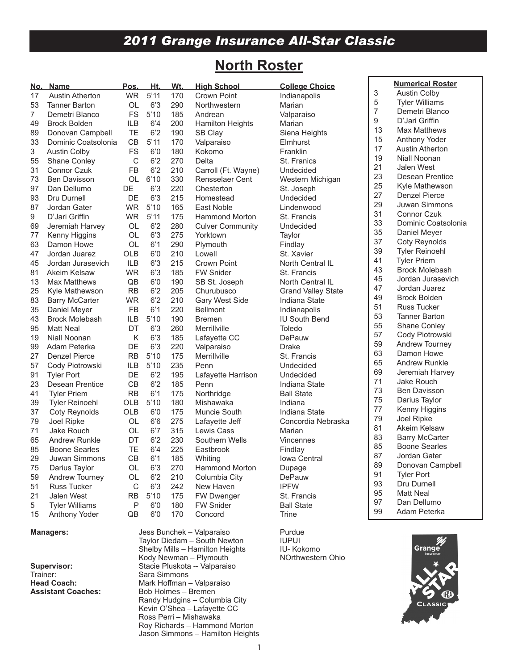# *2011 Grange Insurance All-Star Classic*

# **North Roster**

| <u>No. </u> | <b>Name</b>            | Pos.        | Ht.  | Wt. | <b>High School</b>                | <b>College Choice</b>     |                | <b>Numerical Roster</b> |
|-------------|------------------------|-------------|------|-----|-----------------------------------|---------------------------|----------------|-------------------------|
| 17          | <b>Austin Atherton</b> | <b>WR</b>   | 5'11 | 170 | Crown Point                       | Indianapolis              | 3              | <b>Austin Colby</b>     |
| 53          | <b>Tanner Barton</b>   | OL          | 6'3  | 290 | Northwestern                      | Marian                    | 5              | <b>Tyler Williams</b>   |
| 7           | Demetri Blanco         | <b>FS</b>   | 5'10 | 185 | Andrean                           | Valparaiso                | $\overline{7}$ | Demetri Blanco          |
| 49          | <b>Brock Bolden</b>    | ILB         | 6'4  | 200 | <b>Hamilton Heights</b>           | Marian                    | 9              | D'Jari Griffin          |
| 89          | Donovan Campbell       | <b>TE</b>   | 6'2  | 190 | SB Clay                           | Siena Heights             | 13             | <b>Max Matthews</b>     |
| 33          | Dominic Coatsolonia    | CB          | 5'11 | 170 | Valparaiso                        | Elmhurst                  | 15             | Anthony Yoder           |
| 3           | <b>Austin Colby</b>    | <b>FS</b>   | 6'0  | 180 | Kokomo                            | Franklin                  | 17             | <b>Austin Atherton</b>  |
| 55          | Shane Conley           | $\mathsf C$ | 6'2  | 270 | Delta                             | St. Franics               | 19             | Niall Noonan            |
| 31          | Connor Czuk            | <b>FB</b>   | 6'2  | 210 | Carroll (Ft. Wayne)               | Undecided                 | 21             | Jalen West              |
| 73          | <b>Ben Davisson</b>    | <b>OL</b>   | 6'10 | 330 | <b>Rensselaer Cent</b>            | Western Michigan          | 23             | Desean Prentice         |
| 97          | Dan Dellumo            | DE          | 6'3  | 220 | Chesterton                        | St. Joseph                | 25             | Kyle Mathewson          |
| 93          | Dru Durnell            | DE          | 6'3  | 215 | Homestead                         | Undecided                 | 27             | Denzel Pierce           |
| 87          | Jordan Gater           | <b>WR</b>   | 5'10 | 165 | East Noble                        | Lindenwood                | 29             | Juwan Simmons           |
| 9           | D'Jari Griffin         | <b>WR</b>   | 5'11 | 175 | <b>Hammond Morton</b>             | St. Francis               | 31             | <b>Connor Czuk</b>      |
| 69          | Jeremiah Harvey        | <b>OL</b>   | 6'2  | 280 | <b>Culver Community</b>           | Undecided                 | 33             | Dominic Coatsolonia     |
| 77          | Kenny Higgins          | OL          | 6'3  | 275 | Yorktown                          | Taylor                    | 35             | Daniel Meyer            |
| 63          | Damon Howe             | <b>OL</b>   | 6'1  | 290 | Plymouth                          | Findlay                   | 37             | <b>Coty Reynolds</b>    |
| 47          | Jordan Juarez          | OLB         | 6'0  | 210 | Lowell                            | St. Xavier                | 39             | <b>Tyler Reinoehl</b>   |
| 45          | Jordan Jurasevich      | <b>ILB</b>  | 6'3  | 215 | Crown Point                       | North Central IL          | 41             | <b>Tyler Priem</b>      |
| 81          | Akeim Kelsaw           | <b>WR</b>   | 6'3  | 185 | <b>FW Snider</b>                  | St. Francis               | 43             | <b>Brock Molebash</b>   |
| 13          | <b>Max Matthews</b>    | QB          | 6'0  | 190 |                                   | North Central IL          | 45             | Jordan Jurasevich       |
| 25          |                        | <b>RB</b>   | 6'2  | 205 | SB St. Joseph<br>Churubusco       |                           | 47             | Jordan Juarez           |
|             | Kyle Mathewson         |             | 6'2  |     |                                   | <b>Grand Valley State</b> | 49             | <b>Brock Bolden</b>     |
| 83          | <b>Barry McCarter</b>  | <b>WR</b>   |      | 210 | Gary West Side<br><b>Bellmont</b> | Indiana State             | 51             | <b>Russ Tucker</b>      |
| 35          | Daniel Meyer           | <b>FB</b>   | 6'1  | 220 |                                   | Indianapolis              | 53             | <b>Tanner Barton</b>    |
| 43          | <b>Brock Molebash</b>  | ILB         | 5'10 | 190 | <b>Bremen</b>                     | <b>IU South Bend</b>      | 55             | Shane Conley            |
| 95          | <b>Matt Neal</b>       | DT          | 6'3  | 260 | Merrillville                      | Toledo                    | 57             | Cody Piotrowski         |
| 19          | Niall Noonan           | Κ           | 6'3  | 185 | Lafayette CC                      | DePauw                    | 59             | Andrew Tourney          |
| 99          | Adam Peterka           | DE          | 6'3  | 220 | Valparaiso                        | <b>Drake</b>              | 63             | Damon Howe              |
| 27          | <b>Denzel Pierce</b>   | <b>RB</b>   | 5'10 | 175 | Merrillville                      | St. Francis               | 65             | <b>Andrew Runkle</b>    |
| 57          | Cody Piotrowski        | ILB         | 5'10 | 235 | Penn                              | Undecided                 | 69             | Jeremiah Harvey         |
| 91          | <b>Tyler Port</b>      | DE          | 6'2  | 195 | Lafayette Harrison                | Undecided                 | 71             | Jake Rouch              |
| 23          | Desean Prentice        | CB          | 6'2  | 185 | Penn                              | Indiana State             | 73             | <b>Ben Davisson</b>     |
| 41          | <b>Tyler Priem</b>     | <b>RB</b>   | 6'1  | 175 | Northridge                        | <b>Ball State</b>         | 75             | Darius Taylor           |
| 39          | <b>Tyler Reinoehl</b>  | <b>OLB</b>  | 5'10 | 180 | Mishawaka                         | Indiana                   | 77             | Kenny Higgins           |
| 37          | Coty Reynolds          | <b>OLB</b>  | 6'0  | 175 | Muncie South                      | Indiana State             | 79             | Joel Ripke              |
| 79          | Joel Ripke             | OL          | 6'6  | 275 | Lafayette Jeff                    | Concordia Nebraska        | 81             | Akeim Kelsaw            |
| 71          | Jake Rouch             | OL          | 6'7  | 315 | Lewis Cass                        | Marian                    | 83             | <b>Barry McCarter</b>   |
| 65          | <b>Andrew Runkle</b>   | DT          | 6'2  | 230 | Southern Wells                    | Vincennes                 | 85             | <b>Boone Searles</b>    |
| 85          | <b>Boone Searles</b>   | TE          | 6'4  | 225 | Eastbrook                         | Findlay                   | 87             |                         |
| 29          | Juwan Simmons          | CB          | 6'1  | 185 | Whiting                           | Iowa Central              | 89             | Jordan Gater            |
| 75          | Darius Taylor          | OL          | 6'3  | 270 | Hammond Morton                    | Dupage                    |                | Donovan Campbell        |
| 59          | Andrew Tourney         | OL          | 6'2  | 210 | Columbia City                     | DePauw                    | 91<br>93       | <b>Tyler Port</b>       |
| 51          | <b>Russ Tucker</b>     | C           | 6'3  | 242 | New Haven                         | <b>IPFW</b>               |                | Dru Durnell             |
| 21          | Jalen West             | <b>RB</b>   | 5'10 | 175 | FW Dwenger                        | St. Francis               | 95             | <b>Matt Neal</b>        |
| 5           | <b>Tyler Williams</b>  | P           | 6'0  | 180 | <b>FW Snider</b>                  | <b>Ball State</b>         | 97             | Dan Dellumo             |
| 15          | Anthony Yoder          | QB          | 6'0  | 170 | Concord                           | Trine                     | 99             | Adam Peterka            |
|             | Managore:              |             |      |     | Joee Runchok - Valnaraien         | <b>Purdua</b>             |                |                         |

Trainer: Sara Simmons<br> **Head Coach:** Sara Simmons<br>
Mark Hoffman

**Managers:** Jess Bunchek – Valparaiso Purdue Taylor Diedam – South Newton IUPUI<br>Shelby Mills – Hamilton Heights IU- Kokomo Shelby Mills – Hamilton Heights IU- Kokomo<br>Indiy Newman – Plymouth IV- Northwestern Ohio Kody Newman – Plymouth<br>Stacie Pluskota -- Valparais **Supervisor:** Stacie Pluskota -- Valparaiso<br>
Trainer: Sara Simmons **Head Coach:** Mark Hoffman – Valparaiso<br> **Assistant Coaches:** Bob Holmes – Bremen **Assistant Coaches:** Bob Holmes – Bremen Randy Hudgins – Columbia City Kevin O'Shea – Lafayette CC Ross Perri – Mishawaka Roy Richards – Hammond Morton Jason Simmons – Hamilton Heights